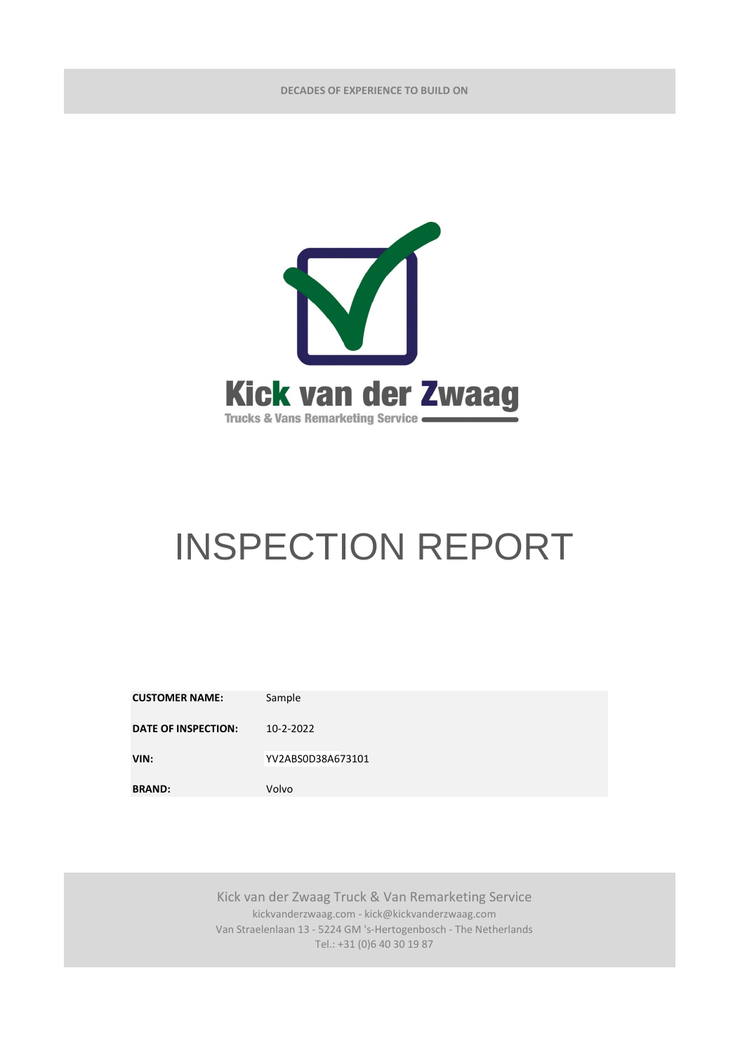**DECADES OF EXPERIENCE TO BUILD ON**



## INSPECTION REPORT

| <b>CUSTOMER NAME:</b>      | Sample            |
|----------------------------|-------------------|
| <b>DATE OF INSPECTION:</b> | 10-2-2022         |
| VIN:                       | YV2ABS0D38A673101 |
| <b>BRAND:</b>              | Volvo             |

Kick van der Zwaag Truck & Van Remarketing Service kickvanderzwaag.com - kick@kickvanderzwaag.com Van Straelenlaan 13 - 5224 GM 's-Hertogenbosch - The Netherlands Tel.: +31 (0)6 40 30 19 87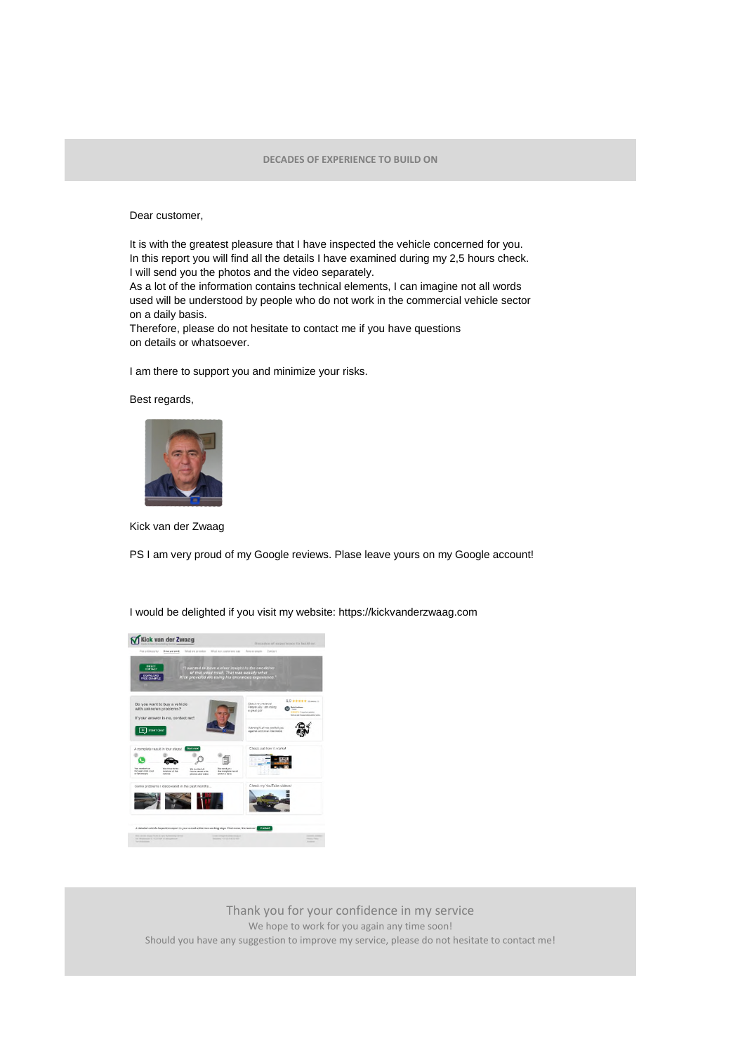Dear customer,

It is with the greatest pleasure that I have inspected the vehicle concerned for you. In this report you will find all the details I have examined during my 2,5 hours check. I will send you the photos and the video separately.

As a lot of the information contains technical elements, I can imagine not all words used will be understood by people who do not work in the commercial vehicle sector on a daily basis.

Therefore, please do not hesitate to contact me if you have questions on details or whatsoever.

I am there to support you and minimize your risks.

## Best regards,



Kick van der Zwaag

PS I am very proud of my Google reviews. Plase leave yours on my Google account!

I would be delighted if you visit my website: https://kickvanderzwaag.com



Thank you for your confidence in my service We hope to work for you again any time soon! Should you have any suggestion to improve my service, please do not hesitate to contact me!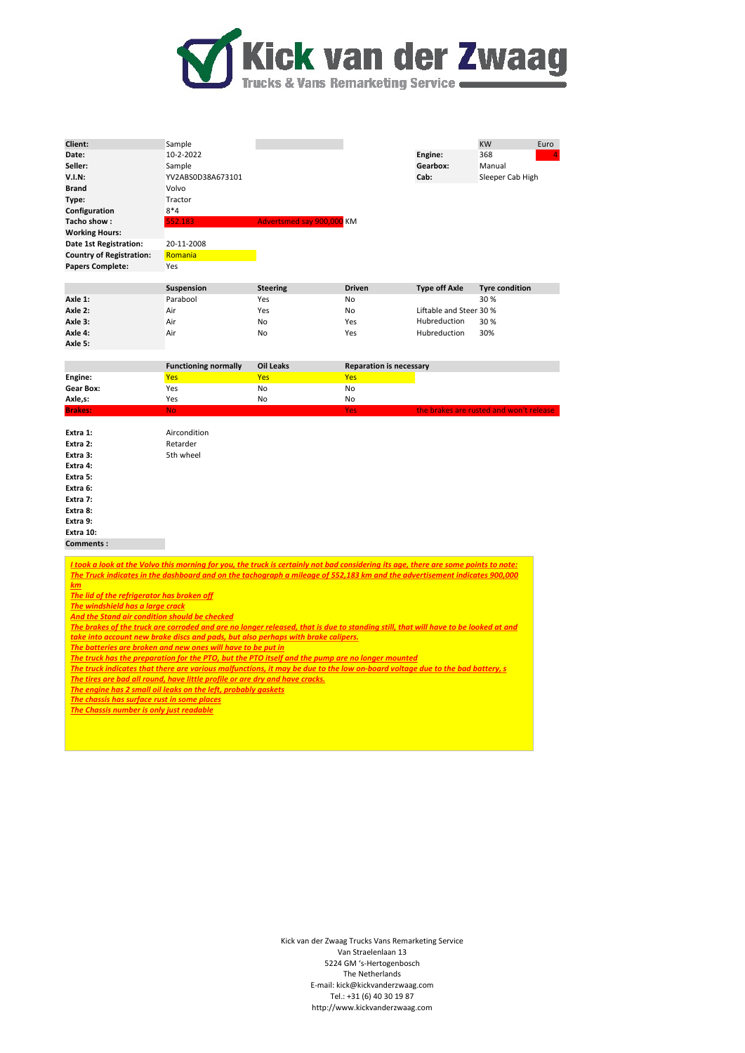

| Client:                                                                                                                                                                                                      | Sample                      |                           |                                |                         | <b>KW</b><br>Euro                       |  |  |
|--------------------------------------------------------------------------------------------------------------------------------------------------------------------------------------------------------------|-----------------------------|---------------------------|--------------------------------|-------------------------|-----------------------------------------|--|--|
| Date:                                                                                                                                                                                                        | 10-2-2022                   |                           |                                | Engine:                 | 368                                     |  |  |
| Seller:                                                                                                                                                                                                      | Sample                      |                           |                                | Gearbox:                | Manual                                  |  |  |
| V.I.N:                                                                                                                                                                                                       | YV2ABS0D38A673101           |                           |                                | Cab:                    | Sleeper Cab High                        |  |  |
| <b>Brand</b>                                                                                                                                                                                                 | Volvo                       |                           |                                |                         |                                         |  |  |
| Type:                                                                                                                                                                                                        | Tractor                     |                           |                                |                         |                                         |  |  |
| Configuration                                                                                                                                                                                                | $8*4$                       |                           |                                |                         |                                         |  |  |
| Tacho show:                                                                                                                                                                                                  | 552.183                     | Advertsmed say 900,000 KM |                                |                         |                                         |  |  |
| <b>Working Hours:</b>                                                                                                                                                                                        |                             |                           |                                |                         |                                         |  |  |
| Date 1st Registration:                                                                                                                                                                                       | 20-11-2008                  |                           |                                |                         |                                         |  |  |
| <b>Country of Registration:</b>                                                                                                                                                                              | Romania                     |                           |                                |                         |                                         |  |  |
| <b>Papers Complete:</b>                                                                                                                                                                                      | Yes                         |                           |                                |                         |                                         |  |  |
|                                                                                                                                                                                                              |                             |                           |                                |                         |                                         |  |  |
|                                                                                                                                                                                                              | Suspension                  | <b>Steering</b>           | <b>Driven</b>                  | <b>Type off Axle</b>    | <b>Tyre condition</b>                   |  |  |
| Axle 1:                                                                                                                                                                                                      | Parabool                    | Yes                       | No                             |                         | 30%                                     |  |  |
| Axle 2:                                                                                                                                                                                                      | Air                         | Yes                       | No                             | Liftable and Steer 30 % |                                         |  |  |
| Axle 3:                                                                                                                                                                                                      | Air                         | No                        | Yes                            | Hubreduction            | 30%                                     |  |  |
| Axle 4:                                                                                                                                                                                                      | Air                         | No                        | Yes                            | Hubreduction            | 30%                                     |  |  |
| Axle 5:                                                                                                                                                                                                      |                             |                           |                                |                         |                                         |  |  |
|                                                                                                                                                                                                              |                             |                           |                                |                         |                                         |  |  |
|                                                                                                                                                                                                              | <b>Functioning normally</b> | <b>Oil Leaks</b>          | <b>Reparation is necessary</b> |                         |                                         |  |  |
| Engine:                                                                                                                                                                                                      | <b>Yes</b>                  | <b>Yes</b>                | <b>Yes</b>                     |                         |                                         |  |  |
| <b>Gear Box:</b>                                                                                                                                                                                             | Yes                         | No                        | No                             |                         |                                         |  |  |
| Axle,s:                                                                                                                                                                                                      | Yes                         | No                        | No                             |                         |                                         |  |  |
| <b>Brakes:</b>                                                                                                                                                                                               | <b>No</b>                   |                           | <b>Yes</b>                     |                         | the brakes are rusted and won't release |  |  |
| Extra 1:                                                                                                                                                                                                     | Aircondition                |                           |                                |                         |                                         |  |  |
| Extra 2:                                                                                                                                                                                                     | Retarder                    |                           |                                |                         |                                         |  |  |
| Extra 3:                                                                                                                                                                                                     | 5th wheel                   |                           |                                |                         |                                         |  |  |
| Extra 4:                                                                                                                                                                                                     |                             |                           |                                |                         |                                         |  |  |
| Extra 5:                                                                                                                                                                                                     |                             |                           |                                |                         |                                         |  |  |
| Extra 6:                                                                                                                                                                                                     |                             |                           |                                |                         |                                         |  |  |
| Extra 7:                                                                                                                                                                                                     |                             |                           |                                |                         |                                         |  |  |
| Extra 8:                                                                                                                                                                                                     |                             |                           |                                |                         |                                         |  |  |
| Extra 9:                                                                                                                                                                                                     |                             |                           |                                |                         |                                         |  |  |
| Extra 10:                                                                                                                                                                                                    |                             |                           |                                |                         |                                         |  |  |
| Comments:                                                                                                                                                                                                    |                             |                           |                                |                         |                                         |  |  |
|                                                                                                                                                                                                              |                             |                           |                                |                         |                                         |  |  |
| I took a look at the Volvo this morning for you, the truck is certainly not bad considering its age, there are some points to note:                                                                          |                             |                           |                                |                         |                                         |  |  |
| The Truck indicates in the dashboard and on the tachograph a mileage of 552,183 km and the advertisement indicates 900,000                                                                                   |                             |                           |                                |                         |                                         |  |  |
| km                                                                                                                                                                                                           |                             |                           |                                |                         |                                         |  |  |
| The lid of the refrigerator has broken off                                                                                                                                                                   |                             |                           |                                |                         |                                         |  |  |
| The windshield has a large crack                                                                                                                                                                             |                             |                           |                                |                         |                                         |  |  |
| <b>And the Stand air condition should be checked</b>                                                                                                                                                         |                             |                           |                                |                         |                                         |  |  |
| The brakes of the truck are corroded and are no longer released, that is due to standing still, that will have to be looked at and                                                                           |                             |                           |                                |                         |                                         |  |  |
| take into account new brake discs and pads, but also perhaps with brake calipers.<br>The batteries are broken and new ones will have to be put in                                                            |                             |                           |                                |                         |                                         |  |  |
| The truck has the preparation for the PTO, but the PTO itself and the pump are no longer mounted                                                                                                             |                             |                           |                                |                         |                                         |  |  |
|                                                                                                                                                                                                              |                             |                           |                                |                         |                                         |  |  |
| The truck indicates that there are various malfunctions, it may be due to the low on-board voltage due to the bad battery, s<br>The tires are bad all round, have little profile or are dry and have cracks. |                             |                           |                                |                         |                                         |  |  |
| The engine has 2 small oil leaks on the left, probably gaskets                                                                                                                                               |                             |                           |                                |                         |                                         |  |  |
| The chassis has surface rust in some places                                                                                                                                                                  |                             |                           |                                |                         |                                         |  |  |
| The Chassis number is only just readable                                                                                                                                                                     |                             |                           |                                |                         |                                         |  |  |
|                                                                                                                                                                                                              |                             |                           |                                |                         |                                         |  |  |
|                                                                                                                                                                                                              |                             |                           |                                |                         |                                         |  |  |

Kick van der Zwaag Trucks Vans Remarketing Service Van Straelenlaan 13 5224 GM 's-Hertogenbosch The Netherlands E-mail: kick@kickvanderzwaag.com Tel.: +31 (6) 40 30 19 87 http://www.kickvanderzwaag.com